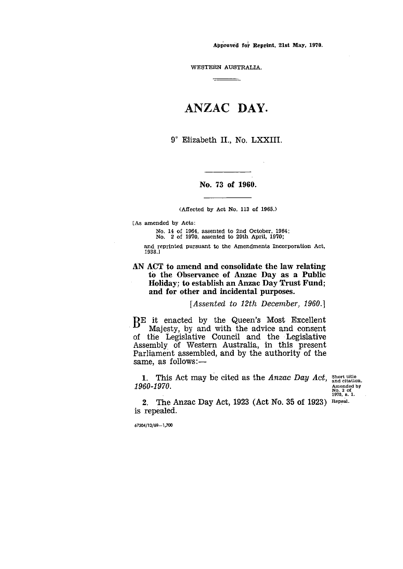Approved fot. Reprint, 21st May, 1970.

WESTERN AUSTRALIA. <del>\_\_\_\_\_\_\_\_\_</del>\_

# ANZAC DAY.

9° Elizabeth II., No. LXXIII.

### No. 73 of 1960.

(Affected by Act No. 113 of 1965.)

[As amended by Acts:

No. 14 of 1964, assented to 2nd October, 1964; No. 2 of 1970, assented to 29th April, 1970;

and reprinted pursuant to the Amendments Incorporation Act, 1938.]

AN ACT to amend and consolidate the law relating to the Observance of Anzac Day as a Public Holiday; to establish an Anzac Day Trust Fund; and for other and incidental purposes.

*[Assented to 12th December, 1960.]*

DE it enacted by the Queen's Most Excellent .1) Majesty, by and with the advice and consent of the Legislative Council and the Legislative Assembly of Western Australia, in this present Parliament assembled, and by the authority of the same, as follows:-

1. This Act may be cited as the *Anzac Day Act*, short title and citation. *1960-1970.*

Amended by No. 2 of 1970, s. 1.

2. The Anzac Day Act, 1923 (Act No. 35 of 1923) Repeal.is repealed.

67304/12/69-1,700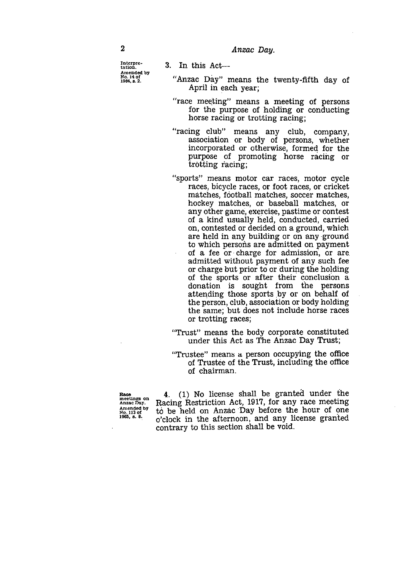Interpretation. Amended by No. 14 of 1909, 8. 2.

2<br>
Interpre-<br>
Interpre-<br>
Amended by<br>
Amended by<br>
Anx and this Act 3. In this Act

- "Anzac Day" means the twenty-fifth day of April in each year;
- "race meeting" means a meeting of persons for the purpose of holding or conducting horse racing or trotting racing;
- "racing club" means any club, company, association or body of persons, whether incorporated or otherwise, formed for the purpose of promoting horse racing or trotting facing;
- "sports" means motor car races, motor cycle races, bicycle races, or foot races, or cricket matches, football matches, soccer matches, hockey matches, or baseball matches, or any other game, exercise, pastime or contest of a kind usually held, conducted, carried on, contested or decided on a ground, which are held in any building or on any ground to which persons are admitted on payment of a fee or charge for admission, or are. admitted without payment of any such fee or charge but prior to or during the holding of the sports or after their conclusion a donation is sought from the persons attending those sports by or on behalf of the person, club, association or body holding the same; but does not include horse races or trotting races;
- "Trust" means the body corporate constituted under this Act as The Anzac Day Trust;
- "Trustee" means a. person occupying the office of Trustee of the Trust, including the office of chairman.

meetings on Anzac Day. Amended by No. /13 of 1965, s. 8.

4. (1) No license shall be granted under the Racing Restriction Act, 1917, for any race meeting to be held on Anzac Day before the hour of one o'clock in the afternoon, and any license granted contrary to this section shall be void.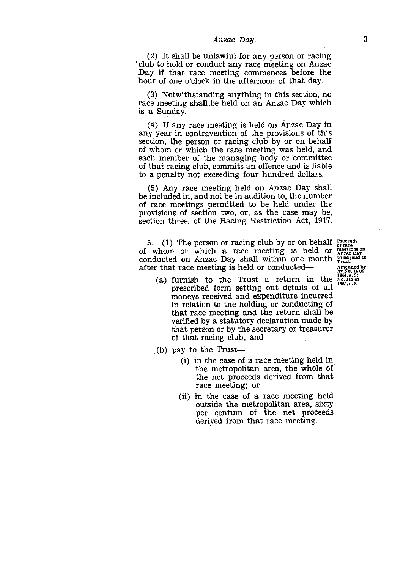*Anzac Day.*<br>
<sup>3</sup><br>
lawful for any person or racing<br>
uct any race meeting on Anzac (2) It shall be unlawful for any person or racing `club to hold or conduct any race meeting on Anzac Day if that race meeting commences before the hour of one o'clock in the afternoon of that day.

(3) Notwithstanding anything in this section, no race meeting shall be held on an Anzac Day which is a Sunday.

(4) If any race meeting is held on Anzac Day in any year in contravention of the provisions of this section, the person or racing club by or on behalf of whom or which the race meeting was held, and each member of the managing body or committee of that racing club, commits an offence and is liable to a penalty not exceeding four hundred dollars.

(5) Any race meeting held on Anzac Day shall be included in, and not be in addition to, the number of race meetings permitted to be held under the provisions of section two, or, as the case may be, section three, of the Racing Restriction Act, 1917.

5. (1) The person or racing club by or on behalf  $\frac{1}{6}$  or  $\frac{1}{6}$ of whom or which a race meeting is held or  $\frac{m \cdot \text{c}}{A n \cdot \text{z}}$ of whom or which a race meeting is held or  $\frac{\text{mectings on}}{\text{Area}}$  conducted on Anzac Day shall within one month  $\frac{\text{top size}}{\text{true}}$ . after that race meeting is held or conducted—

**by No. 14 of 1964 ,** A **3 of 1965. B. 8.**

- (a) furnish to the Trust a return in the prescribed form setting out details of all moneys received and expenditure incurred in relation to the holding or conducting of that race meeting and the return shall be verified by a statutory declaration made by that person or by the secretary or treasurer of that racing club; and
- (b) pay to the Trust-
	- (i) in the case of a race meeting held in the metropolitan area, the whole of' the net proceeds derived from that race meeting; or
	- (ii) in the case of a race meeting held outside the metropolitan area, sixty per centum of the net proceeds derived from that race meeting.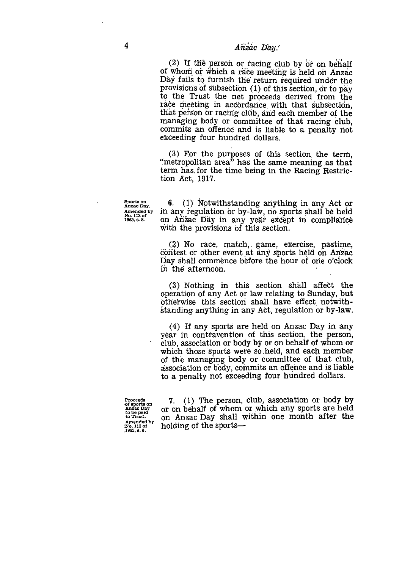## <sup>4</sup> *Anzac Day.'*

(2) If the person or racing club by or on behalf of whom or which a race meeting is held on Anzac Day fails to furnish the return required Under the provisions of subsection (1) of this section, or to pay to the Trust the net proceeds derived from the race meeting in accordance with that subsection, that person Or racing club, arid each member of the managing body or committee of that racing club, commits an offence and is liable to a penalty not exceeding four hundred dollars.

(3) For the purposes of this section the term, "metropolitan area" has the same meaning as that term has, for the time being in the Racing Restriction Act, 1917.

**Sports on Anzac Day. Amended by No. 113 of 1965. s. 8.** 6. (1) Notwithstanding anything in any Act or in any regulation or by-law, no sports shall be held on Anzac Day in any year except in compliance with the provisions of this section.

> (2) No race, match,. game, exercise, pastime, contest or other event at any sports held on Anzac Day shall commence before the hour of one o'clock in the afternoon.

> (3) Nothing in this section shall affect the operation of any Act or law relating to Sunday, but otherwise this section shall have effect notwithstanding anything in any Act, regulation or by-law.

> (4) If any sports are held on Anzac Day in any year in contravention of this section, the person, club, association or body by or on behalf of whom or which those sports were so held, and each member of the managing body or committee of that club, association or body, commits an offence and is liable to a penalty not exceeding four hundred dollars.

**Proceeds of sports on Anzac Day to be paid to Trust. Amended by No. 113 of .1965. s. 8.**

7. (1) The person, club, association or body by or on behalf of whom or which any sports are held on Anzac Day shall within one month after the holding of the sports-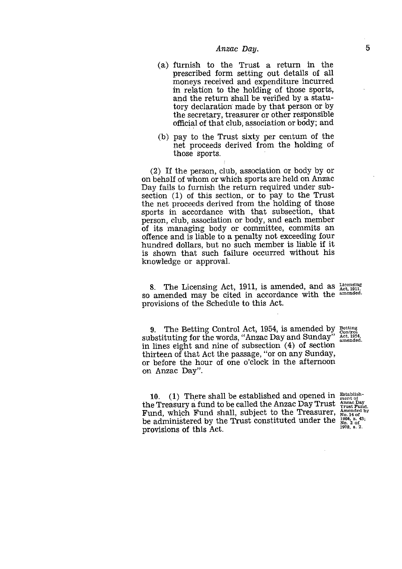- *Anzac Day.*<br> **5**<br>
the Trust a return in the<br>
form setting out details of all<br>
sime and and any diture incurred (a) furnish to the Trust a return in the prescribed form setting out details of all moneys received and expenditure incurred in relation to the holding of those sports, and the return shall be verified by a statutory declaration made by that person or by the secretary, treasurer or other responsible official of that club, association or body; and
- (b) pay to the Trust sixty per centum of the net proceeds derived from the holding of those sports.

(2) If the person, club, association or body by or on behalf of whom or which sports are held on Anzac Day fails to furnish the return required under subsection (1) of this section, or to pay to the Trust the net proceeds derived from the holding of those sports in accordance with that subsection, that person, club, association or body, and each member of its managing body or committee, commits an offence and is liable to a penalty not exceeding four hundred dollars, but no such member is liable if it is shown that such failure occurred without his knowledge or approval.

8. The Licensing Act, 1911, is amended, and as  $\frac{\text{Licensing}}{\text{Act, 1911}}$ 8. The Licensing Act, 1911, is americal and as  $\frac{\chi_{\text{c}}}{\chi_{\text{c}}(1911)}$ , so amended may be cited in accordance with the <sup>amended.</sup> provisions of the Schedule to this Act.

9. The Betting Control Act, 1954, is amended by Betting Control<br>hetituting for the words "Anzac Day and Sunday" Act, 1954, substituting for the words, "Anzac Day and Sunday" in lines eight and nine of subsection (4) of section thirteen of that Act the passage, "or on any Sunday, or before the hour of one o'clock in the afternoon on Anzac Day". amended. 9. The Betting Con<br>substituting for the would in lines eight and nine<br>thirteen of that Act the<br>or before the hour of<br>on Anzac Day".<br> $10.$  (1) There shall<br>the Treasury a fund to l<br>Fund, which Fund sha<br>be administered by th

10. (1) There shall be established and opened in  $\frac{\text{Estability}}{\text{ment of}}$ the Treasury a fund to be called the Anzac Day Trust  $\frac{p_{\text{max}}}{p_{\text{max}}p_{\text{end}}}$ Fund, which Fund shall, subject to the Treasurer,  $_{\text{No. 14 of}}^{\text{Amented d b}}$ be administered by the Trust constituted under the  $^{1964}$ , s. 43;<br>be administered by the Trust constituted under the  $^{1964}$ , s. 43;

1970, s. 2.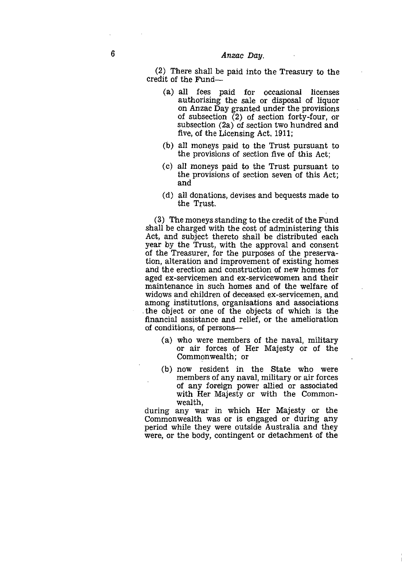6<br>
Anzac Day.<br>
(2) There shall be paid into credit of the Fund— (2) There shall be paid into the Treasury to the credit of the Fund

- (a) all fees paid for occasional licenses authorising the sale or disposal of liquor on Anzac Day granted under the provisions of subsection  $(2)$  of section forty-four, or subsection (2a) of section two hundred and five, of the Licensing Act, 1911;
- (b) all moneys paid to the Trust pursuant to the provisions of section five of this Act;
- (c) all moneys paid to the Trust pursuant to the provisions of section seven of this Act; and
- (d) all donations, devises and bequests made to the Trust.

(3) The moneys standing to the credit of the Fund shall be charged with the cost of administering this Act, and subject thereto shall be distributed each year by the Trust, with the approval and consent of the Treasurer, for the purposes of the preservation, alteration and improvement of existing homes and the erection and construction of new homes for aged ex-servicemen and ex-servicewomen and their maintenance in such homes and of the welfare of widows and children of deceased ex-servicemen, and among institutions, organisations and associations the object or one of the objects of which is the financial assistance and relief, or the amelioration of conditions, of persons

- (a) who were members of the naval, military or air forces of Her Majesty or of the Commonwealth; or
- (b) now resident in the State who were members of any naval, military or air forces of any foreign power allied or associated with Her Majesty or with the Commonwealth,

during any war in which Her Majesty or the Commonwealth was or is engaged or during any period while they were outside Australia and they were, or the body, contingent or detachment of the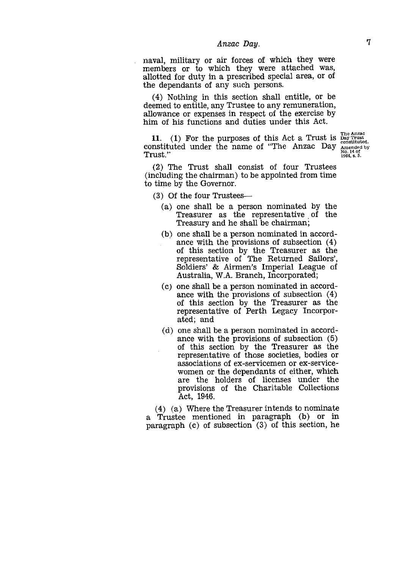# *Anzac Day. 7*

naval, military or air forces of which they were members or to which they were attached was, allotted for duty in a prescribed special area, or of the dependants of any such persons.

(4) Nothing in this section shall entitle, or be deemed to entitle, any Trustee to any remuneration, allowance or expenses in respect of the exercise by him of his functions and duties under this Act.

11. (1) For the purposes of this Act a Trust is  $\frac{\text{The Anzac}}{\text{Day Tututed}}$ constituted under the name of "The Anzac Day Trust."

Amended by No. 14 of 1964, s. 5.

(2) The Trust shall consist of four Trustees (including the chairman) to be appointed from time to time by the Governor.

(3) Of the four Trustees

- (a) one shall be a person nominated by the Treasurer as the representative of the Treasury and he shall be chairman;
- (b) one shall be a person nominated in accordance with the provisions of subsection (4) of this section by the Treasurer as the representative of The Returned Sailors', Soldiers' & Airmen's Imperial League of Australia, W.A. Branch, Incorporated;
- (c) one shall be a person nominated in accordance with the provisions of subsection (4) of this section by the Treasurer as the representative of Perth Legacy Incorporated; and
- (d) one shall be a person nominated in accordance with the provisions of subsection (5) of this section by the Treasurer as the representative of those societies, bodies or associations of ex-servicemen or ex-servicewomen or the dependants of either, which are the holders of licenses under the provisions of the Charitable Collections Act, 1946.

(4) (a) Where the Treasurer intends to nominate a Trustee mentioned in paragraph (b) or in paragraph (c) of subsection (3) of this section, he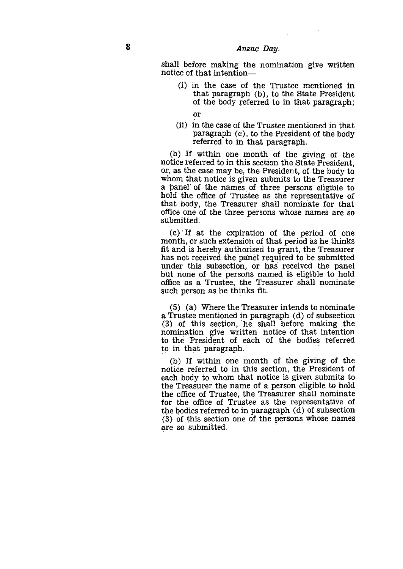shall before making the nomination give written notice of that intention—

- (i) in the case of the Trustee mentioned in that paragraph (b), to the State President of the body referred to in that paragraph;
	- or
- (ii) in the case of the Trustee mentioned in that paragraph (c), to the President of the body referred to in that paragraph.

(b) If within one month of the giving of the notice referred to in this section the State President, or, as the case may be, the President, of the body to whom that notice is given submits to the Treasurer a panel of the names of three persons eligible to hold the office of Trustee as the representative of that body, the Treasurer shall nominate for that office one of the three persons whose names are so submitted.

(c) ' If at the expiration of the period of one month, or such extension of that period as he thinks fit and is hereby authorised to grant, the Treasurer has not received the panel required to be submitted under this subsection, or has received the panel but none of the persons named is eligible to hold office as a Trustee, the Treasurer shall nominate such person as he thinks fit.

(5) (a) Where the Treasurer intends to nominate a Trustee mentioned in paragraph (d) of subsection (3) of this section, he shall before making the nomination give written notice of that intention to the President of each of the bodies referred to in that paragraph.

(b) If within one month of the giving of the notice referred to in this section, the President of each body to whom that notice is given submits to the Treasurer the name of a person eligible to hold the office of Trustee, the Treasurer shall nominate for the office of Trustee as the representative of the bodies referred to in paragraph (d) of subsection (3) of this section one of the persons whose names are so submitted.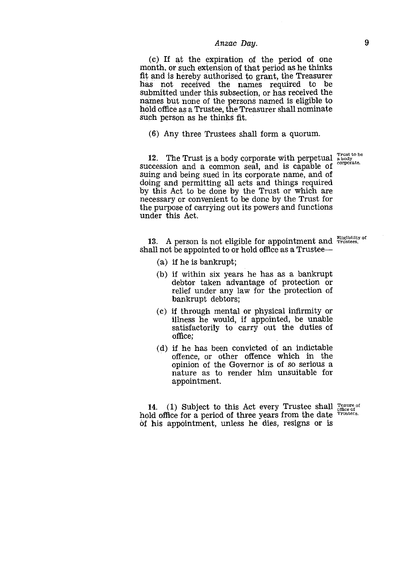*Anzac Day.*<br>
piration of the period of one<br>
parameterial as he thinks<br>
phoriced to graph the Treesures (c) If at the expiration of the period of one month, or such extension of that period as he thinks fit and is hereby authorised to grant, the Treasurer has not received the names required to be submitted under this subsection, or has received the names but none of the persons named is eligible to hold office as a Trustee, the Treasurer shall nominate such person as he thinks fit.

(6) Any three Trustees shall form a quorum.

12. The Trust is a body corporate with perpetual Trust to be<br>a body<br>corporate. succession and a common seal, and is capable of suing and being sued in its corporate name, and of doing and permitting all acts and things required by this Act to be done by the Trust or which are necessary or convenient to be done by the Trust for the purpose of carrying out its powers and functions under this Act.

13. A person is not eligible for appointment and Frustees. shall not be appointed to or hold office as a Trustee

- (a) if he is bankrupt;
- (b) if within six years he has as a bankrupt debtor taken advantage of protection or relief under any law for the protection of bankrupt debtors;
- (c) if through mental or physical infirmity or illness he would, if appointed, be unable satisfactorily to carry out the duties of office;
- (d) if he has been convicted of an indictable offence, or other offence which in the opinion of the Governor is of so serious a nature as to render him unsuitable for appointment.

14. (1) Subject to this Act every Trustee shall  $T_{\text{center of}}^{\text{re})(\text{inter of}}$ hold office for a period of three years from the date Trustees. of his appointment, unless he dies, resigns or is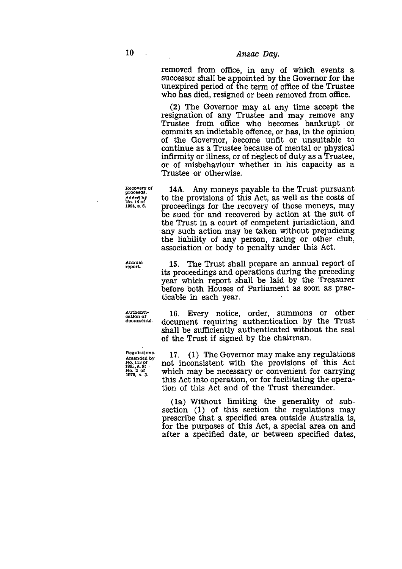10 *Anzac Day.*<br>
removed from office, in any<br>
successor shall be appointed by removed from office, in any of which events a successor shall be appointed by the Governor for the unexpired period of the term of office of the Trustee who has died, resigned or been removed from office.

> (2) The Governor may at any time accept the resignation of any Trustee and may remove any Trustee from office who becomes bankrupt or commits an indictable offence, or has, in the opinion. of the Governor, become unfit or unsuitable to continue as a Trustee because of mental or physical infirmity or illness, or of neglect of duty as a Trustee, or of misbehaviour whether in his capacity as a Trustee or otherwise.

14A. Any moneys payable to the Trust pursuant to the provisions of this Act, as well as the costs of proceedings for the recovery of those moneys, may be sued for and recovered by action at the suit of the Trust in a court of competent jurisdiction, and any such action may be taken without prejudicing the liability of any person, racing or other club, association or body to penalty under this Act.

Annual report.

Recovery of proceeds. .<br>Added by No. 14 of 1964, s. 6.

> 15. The Trust shall prepare an annual report of its proceedings and operations during the preceding year which report shall be laid by the Treasurer before both Houses of Parliament as soon as practicable in each year.

16. Every notice, order, summons or other document requiring authentication by the Trust shall be sufficiently authenticated without the seal of the Trust if signed by the chairman.

17. (1) The Governor may make any regulations not inconsistent with the provisions of this Act which may be necessary or convenient for carrying this Act into operation, or for facilitating the operation of this Act and of the Trust thereunder.

(la) Without limiting the generality of subsection (1) of this section the regulations may prescribe that a specified area outside Australia *is,* for the purposes of this Act, a special area on and after a specified date, or between specified dates,

Authentication of documents.

Regulations. Amended by No. 113 of 1965, 8. No. 2 of 1970, s. 3.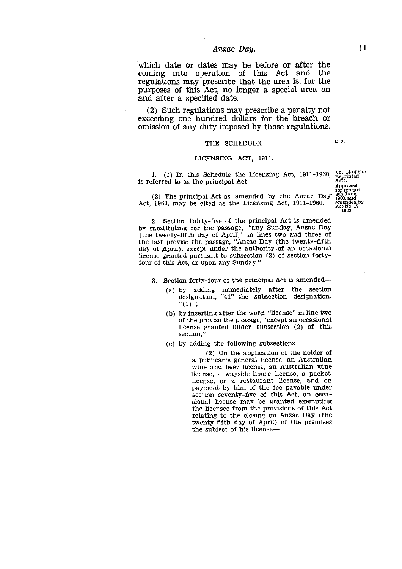*Anzac Day.* 11<br>
as may be before or after the<br>
ation of this Act and the<br>
parallel the area is for the which date or dates may be before or after the coming into operation of this Act and the regulations may prescribe that the area is, for the purposes of this Act, no longer a special area on and after a specified date. Anzac Day.<br>
ttes may be before or after the<br>
eration of this Act and the<br>
prescribe that the area is, for the<br>
Act, no longer a special area on<br>
fied date.<br>
tions may prescribe a penalty not<br>
ndred dollars for the breach o is referred to as the principal Act,<br>
(2) The principal Acts.<br>
(2) Such regulations may prescribe that the area is, for the<br>
exceeding one hundred dollars for the breach or<br>
omission of any duty imposed by those regulatio

(2) Such regulations may prescribe a penalty not exceeding one hundred dollars for the breach or omission of any duty imposed by those regulations. (2) Such regulations may presence a penalty how<br>exceeding one hundred dollars for the breach of omission of any duty imposed by those regulations<br> $THE$  SCHEDULE.<br>LICENSING ACT, 1911.<br>1. (1) In this Schedule the Licensing A

### LICENSING ACT, 1911.

1. (1) In this Schedule the Licensing Act,  $1911-1960$ ,  $\frac{\text{Vol. 14 of the}}{\text{Reprinted}}$ 

Approved for reprint, emended by of 1900.

(2) The principal Act as amended by the Anzac Day- Act, 1960, may be cited as the Licensing Act, 1911-1960.

2. Section thirty-five of the principal Act is amended by substituting for the passage, "any Sunday, Anzac Day (the twenty-fifth day of April)" in lines two and three of the last proviso the passage, "Anzac Day (the twenty-fifth day of April), except under the authority of an occasional license granted pursuant to subsection (2) of section fortyfour of this Act, or upon any Sunday."

- 3. Section forty-four of the principal Act is amended
	- (a) by adding immediately after the section designation, "44" the subsection designation, "(1)";
	- (b) by inserting after the word, "license" in line two of the proviso the passage, "except an occasional license granted under subsection (2) of this section,";
	- (c) by adding the following subsections

(2) On the application of the holder of a publican's general license, an Australian wine and beer license, an Australian wine license, a wayside-house license, a packet license, or a restaurant license, and on payment by him of the fee payable under section seventy-five of this Act, an occasional license may be granted exempting the licensee from the provisions of this Act relating to the closing on Anzac Day (the twenty-fifth day of April) of the premises the subject of his license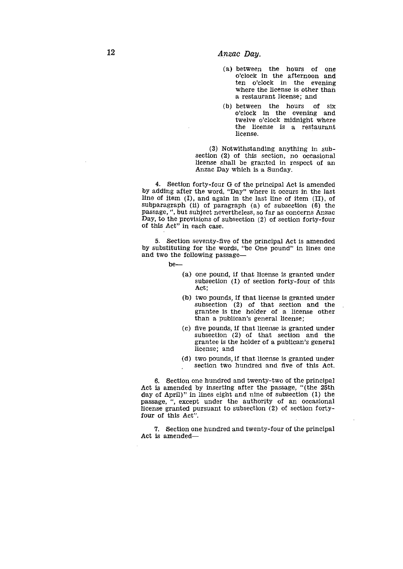- 12<br> *Anzac Day.*<br>
(a) between<br>
o'clock<br>
ten o'c (a) between the hours of one o'clock in the afternoon and ten o'clock in the evening where the license is other than a restaurant license; and
	- (b) between the hours of six o'clock in the evening and twelve o'clock midnight where the license is a restaurant license.

(3) Notwithstanding anything in subsection (2) of this section, no occasional license shall be granted in respect of an Anzac Day which is a Sunday.

4. Section forty-four G of the principal Act is amended by adding after the word, "Day" where it occurs in the last line of item (I), and again in the last line of item (II), of subparagraph (ii) of paragraph (a) of subsection (6) the passage, ", but subject nevertheless, so far as concerns Anzac Day, to the provisions of subsection (2) of section forty-four of this Act" in each case.

5. Section seventy-five of the principal Act is amended by substituting for the words, "be One pound" in lines one and two the following passage

be

- (a) one pound, if that license is granted under subsection (1) of section forty-four of this Act;
- (b) two pounds, if that license is granted under subsection (2) of that section and the grantee is the holder of a license other than a publican's general license;
- (c) five pounds, if that license is granted under subsection (2) of that section and the grantee is the holder of a publican's general license; and
- (d) two pounds, if that license is granted under section two hundred and five of this Act.

6. Section one hundred and twenty-two of the principal Act is amended by inserting after the passage, "(the 25th day of April)" in lines eight and nine of subsection (1) the passage, ", except under the authority of an occasional license granted pursuant to subsection (2) of section fortyfour of this Act".

7. Section one hundred and twenty-four of the principal Act is amended-